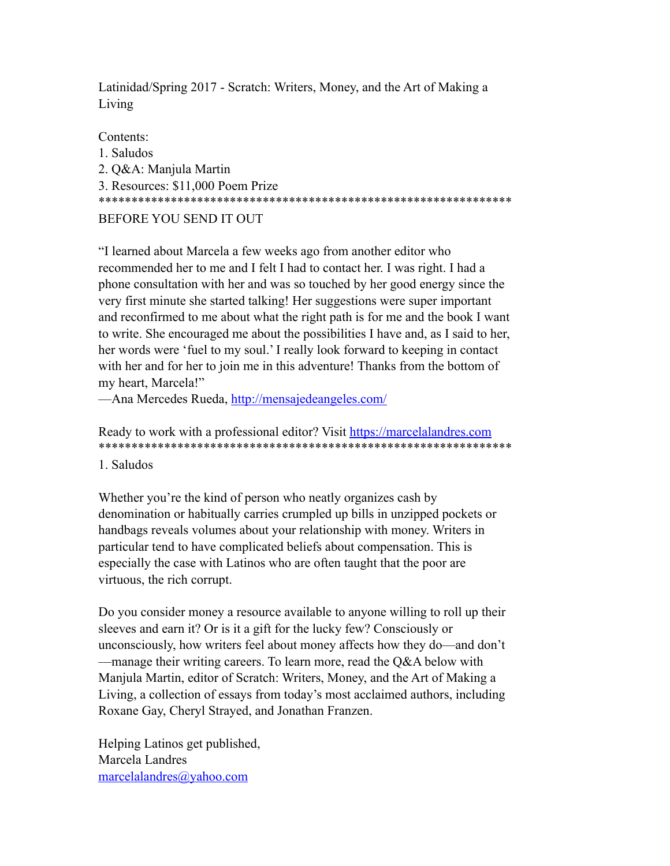Latinidad/Spring 2017 - Scratch: Writers, Money, and the Art of Making a Living

Contents:

1. Saludos 2. Q&A: Manjula Martin 3. Resources: \$11,000 Poem Prize \*\*\*\*\*\*\*\*\*\*\*\*\*\*\*\*\*\*\*\*\*\*\*\*\*\*\*\*\*\*\*\*\*\*\*\*\*\*\*\*\*\*\*\*\*\*\*\*\*\*\*\*\*\*\*\*\*\*\*\*\*\*\* BEFORE YOU SEND IT OUT

"I learned about Marcela a few weeks ago from another editor who recommended her to me and I felt I had to contact her. I was right. I had a phone consultation with her and was so touched by her good energy since the very first minute she started talking! Her suggestions were super important and reconfirmed to me about what the right path is for me and the book I want to write. She encouraged me about the possibilities I have and, as I said to her, her words were 'fuel to my soul.' I really look forward to keeping in contact with her and for her to join me in this adventure! Thanks from the bottom of my heart, Marcela!"

—Ana Mercedes Rueda,<http://mensajedeangeles.com/>

## Ready to work with a professional editor? Visit <https://marcelalandres.com> \*\*\*\*\*\*\*\*\*\*\*\*\*\*\*\*\*\*\*\*\*\*\*\*\*\*\*\*\*\*\*\*\*\*\*\*\*\*\*\*\*\*\*\*\*\*\*\*\*\*\*\*\*\*\*\*\*\*\*\*\*\*\*

1. Saludos

Whether you're the kind of person who neatly organizes cash by denomination or habitually carries crumpled up bills in unzipped pockets or handbags reveals volumes about your relationship with money. Writers in particular tend to have complicated beliefs about compensation. This is especially the case with Latinos who are often taught that the poor are virtuous, the rich corrupt.

Do you consider money a resource available to anyone willing to roll up their sleeves and earn it? Or is it a gift for the lucky few? Consciously or unconsciously, how writers feel about money affects how they do—and don't —manage their writing careers. To learn more, read the Q&A below with Manjula Martin, editor of Scratch: Writers, Money, and the Art of Making a Living, a collection of essays from today's most acclaimed authors, including Roxane Gay, Cheryl Strayed, and Jonathan Franzen.

Helping Latinos get published, Marcela Landres [marcelalandres@yahoo.com](mailto:marcelalandres@yahoo.com)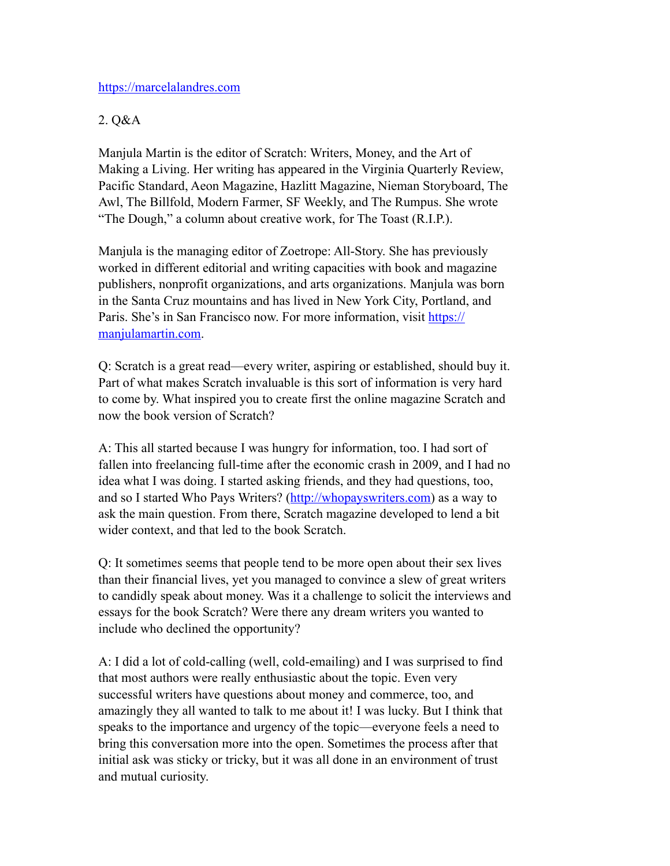### <https://marcelalandres.com>

## 2. Q&A

Manjula Martin is the editor of Scratch: Writers, Money, and the Art of Making a Living. Her writing has appeared in the Virginia Quarterly Review, Pacific Standard, Aeon Magazine, Hazlitt Magazine, Nieman Storyboard, The Awl, The Billfold, Modern Farmer, SF Weekly, and The Rumpus. She wrote "The Dough," a column about creative work, for The Toast (R.I.P.).

Manjula is the managing editor of Zoetrope: All-Story. She has previously worked in different editorial and writing capacities with book and magazine publishers, nonprofit organizations, and arts organizations. Manjula was born in the Santa Cruz mountains and has lived in New York City, Portland, and Paris. She's in San Francisco now. For more information, visit [https://](https://manjulamartin.com) [manjulamartin.com.](https://manjulamartin.com)

Q: Scratch is a great read—every writer, aspiring or established, should buy it. Part of what makes Scratch invaluable is this sort of information is very hard to come by. What inspired you to create first the online magazine Scratch and now the book version of Scratch?

A: This all started because I was hungry for information, too. I had sort of fallen into freelancing full-time after the economic crash in 2009, and I had no idea what I was doing. I started asking friends, and they had questions, too, and so I started Who Pays Writers? [\(http://whopayswriters.com\)](http://whopayswriters.com) as a way to ask the main question. From there, Scratch magazine developed to lend a bit wider context, and that led to the book Scratch.

Q: It sometimes seems that people tend to be more open about their sex lives than their financial lives, yet you managed to convince a slew of great writers to candidly speak about money. Was it a challenge to solicit the interviews and essays for the book Scratch? Were there any dream writers you wanted to include who declined the opportunity?

A: I did a lot of cold-calling (well, cold-emailing) and I was surprised to find that most authors were really enthusiastic about the topic. Even very successful writers have questions about money and commerce, too, and amazingly they all wanted to talk to me about it! I was lucky. But I think that speaks to the importance and urgency of the topic—everyone feels a need to bring this conversation more into the open. Sometimes the process after that initial ask was sticky or tricky, but it was all done in an environment of trust and mutual curiosity.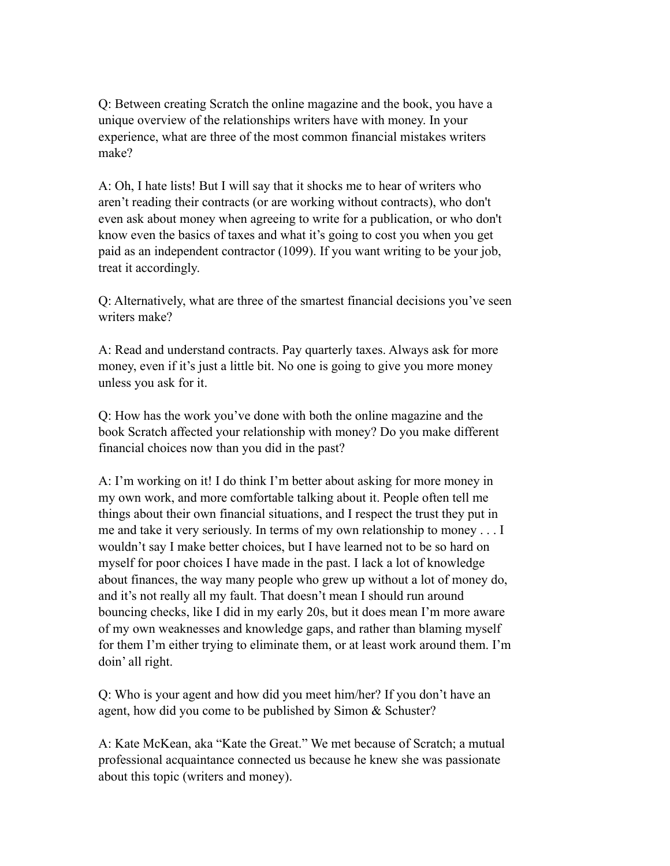Q: Between creating Scratch the online magazine and the book, you have a unique overview of the relationships writers have with money. In your experience, what are three of the most common financial mistakes writers make?

A: Oh, I hate lists! But I will say that it shocks me to hear of writers who aren't reading their contracts (or are working without contracts), who don't even ask about money when agreeing to write for a publication, or who don't know even the basics of taxes and what it's going to cost you when you get paid as an independent contractor (1099). If you want writing to be your job, treat it accordingly.

Q: Alternatively, what are three of the smartest financial decisions you've seen writers make?

A: Read and understand contracts. Pay quarterly taxes. Always ask for more money, even if it's just a little bit. No one is going to give you more money unless you ask for it.

Q: How has the work you've done with both the online magazine and the book Scratch affected your relationship with money? Do you make different financial choices now than you did in the past?

A: I'm working on it! I do think I'm better about asking for more money in my own work, and more comfortable talking about it. People often tell me things about their own financial situations, and I respect the trust they put in me and take it very seriously. In terms of my own relationship to money . . . I wouldn't say I make better choices, but I have learned not to be so hard on myself for poor choices I have made in the past. I lack a lot of knowledge about finances, the way many people who grew up without a lot of money do, and it's not really all my fault. That doesn't mean I should run around bouncing checks, like I did in my early 20s, but it does mean I'm more aware of my own weaknesses and knowledge gaps, and rather than blaming myself for them I'm either trying to eliminate them, or at least work around them. I'm doin' all right.

Q: Who is your agent and how did you meet him/her? If you don't have an agent, how did you come to be published by Simon & Schuster?

A: Kate McKean, aka "Kate the Great." We met because of Scratch; a mutual professional acquaintance connected us because he knew she was passionate about this topic (writers and money).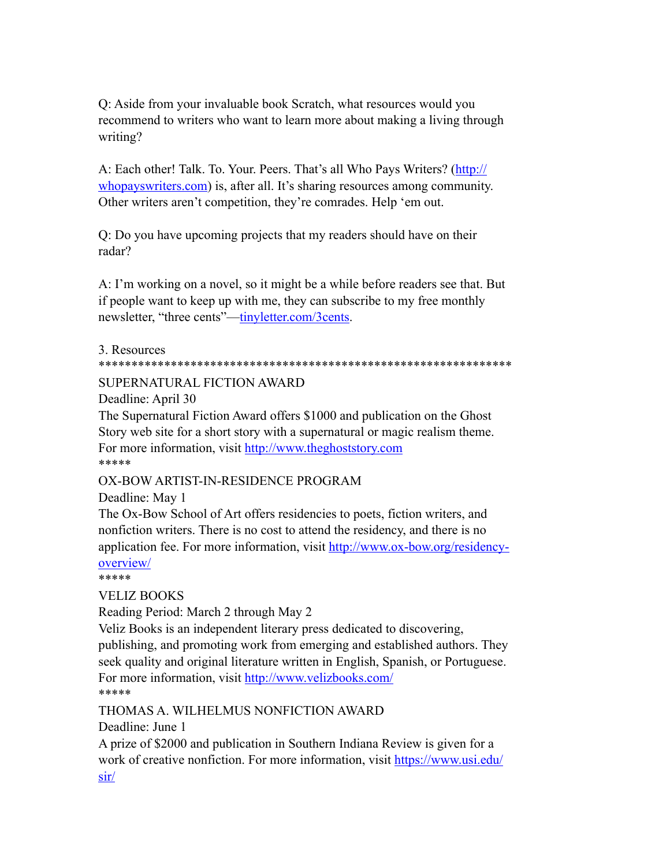Q: Aside from your invaluable book Scratch, what resources would you recommend to writers who want to learn more about making a living through writing?

A: Each other! Talk. To. Your. Peers. That's all Who Pays Writers? [\(http://](http://whopayswriters.com) [whopayswriters.com\)](http://whopayswriters.com) is, after all. It's sharing resources among community. Other writers aren't competition, they're comrades. Help 'em out.

Q: Do you have upcoming projects that my readers should have on their radar?

A: I'm working on a novel, so it might be a while before readers see that. But if people want to keep up with me, they can subscribe to my free monthly newsletter, "three cents"[—tinyletter.com/3cents](http://tinyletter.com/3cents).

### 3. Resources

#### \*\*\*\*\*\*\*\*\*\*\*\*\*\*\*\*\*\*\*\*\*\*\*\*\*\*\*\*\*\*\*\*\*\*\*\*\*\*\*\*\*\*\*\*\*\*\*\*\*\*\*\*\*\*\*\*\*\*\*\*\*\*\*

### SUPERNATURAL FICTION AWARD

Deadline: April 30

The Supernatural Fiction Award offers \$1000 and publication on the Ghost Story web site for a short story with a supernatural or magic realism theme. For more information, visit <http://www.theghoststory.com> \*\*\*\*\*

### OX-BOW ARTIST-IN-RESIDENCE PROGRAM

Deadline: May 1

The Ox-Bow School of Art offers residencies to poets, fiction writers, and nonfiction writers. There is no cost to attend the residency, and there is no application fee. For more information, visit [http://www.ox-bow.org/residency](http://www.ox-bow.org/residency-overview/)[overview/](http://www.ox-bow.org/residency-overview/)

\*\*\*\*\*

### VELIZ BOOKS

Reading Period: March 2 through May 2

Veliz Books is an independent literary press dedicated to discovering, publishing, and promoting work from emerging and established authors. They seek quality and original literature written in English, Spanish, or Portuguese. For more information, visit <http://www.velizbooks.com/> \*\*\*\*\*

THOMAS A. WILHELMUS NONFICTION AWARD

Deadline: June 1

A prize of \$2000 and publication in Southern Indiana Review is given for a work of creative nonfiction. For more information, visit [https://www.usi.edu/](https://www.usi.edu/sir/) [sir/](https://www.usi.edu/sir/)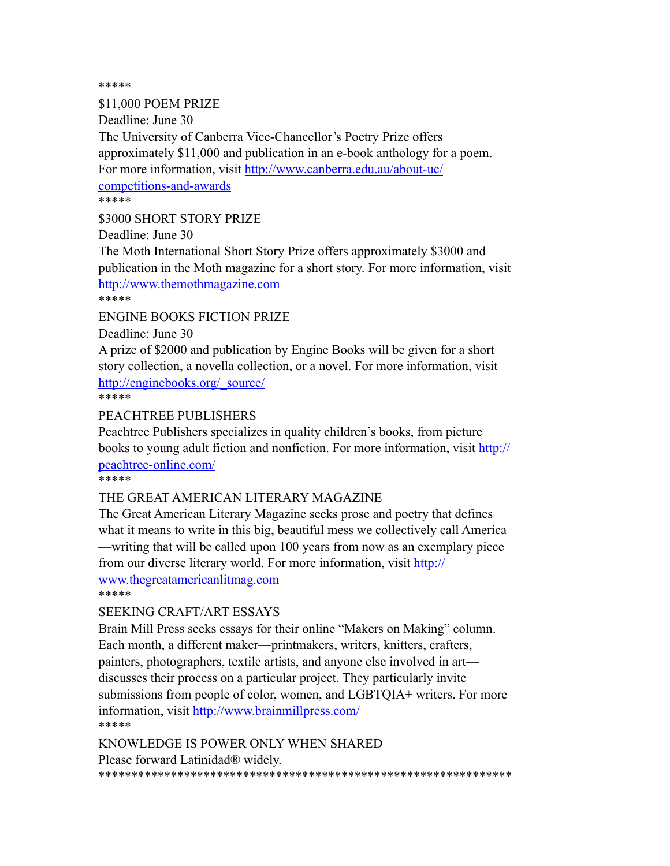\*\*\*\*\*

\$11,000 POEM PRIZE Deadline: June 30 The University of Canberra Vice-Chancellor's Poetry Prize offers approximately \$11,000 and publication in an e-book anthology for a poem. For more information, visit [http://www.canberra.edu.au/about-uc/](http://www.canberra.edu.au/about-uc/competitions-and-awards) [competitions-and-awards](http://www.canberra.edu.au/about-uc/competitions-and-awards) \*\*\*\*\* \$3000 SHORT STORY PRIZE Deadline: June 30

The Moth International Short Story Prize offers approximately \$3000 and publication in the Moth magazine for a short story. For more information, visit <http://www.themothmagazine.com> \*\*\*\*\*

ENGINE BOOKS FICTION PRIZE

Deadline: June 30

A prize of \$2000 and publication by Engine Books will be given for a short story collection, a novella collection, or a novel. For more information, visit [http://enginebooks.org/\\_source/](http://enginebooks.org/_source/)

\*\*\*\*\*

### PEACHTREE PUBLISHERS

Peachtree Publishers specializes in quality children's books, from picture books to young adult fiction and nonfiction. For more information, visit [http://](http://peachtree-online.com/) [peachtree-online.com/](http://peachtree-online.com/)

\*\*\*\*\*

### THE GREAT AMERICAN LITERARY MAGAZINE

The Great American Literary Magazine seeks prose and poetry that defines what it means to write in this big, beautiful mess we collectively call America —writing that will be called upon 100 years from now as an exemplary piece from our diverse literary world. For more information, visit [http://](http://www.thegreatamericanlitmag.com) [www.thegreatamericanlitmag.com](http://www.thegreatamericanlitmag.com)

\*\*\*\*\*

### SEEKING CRAFT/ART ESSAYS

Brain Mill Press seeks essays for their online "Makers on Making" column. Each month, a different maker—printmakers, writers, knitters, crafters, painters, photographers, textile artists, and anyone else involved in art discusses their process on a particular project. They particularly invite submissions from people of color, women, and LGBTQIA+ writers. For more information, visit<http://www.brainmillpress.com/> \*\*\*\*\*

KNOWLEDGE IS POWER ONLY WHEN SHARED Please forward Latinidad® widely. \*\*\*\*\*\*\*\*\*\*\*\*\*\*\*\*\*\*\*\*\*\*\*\*\*\*\*\*\*\*\*\*\*\*\*\*\*\*\*\*\*\*\*\*\*\*\*\*\*\*\*\*\*\*\*\*\*\*\*\*\*\*\*